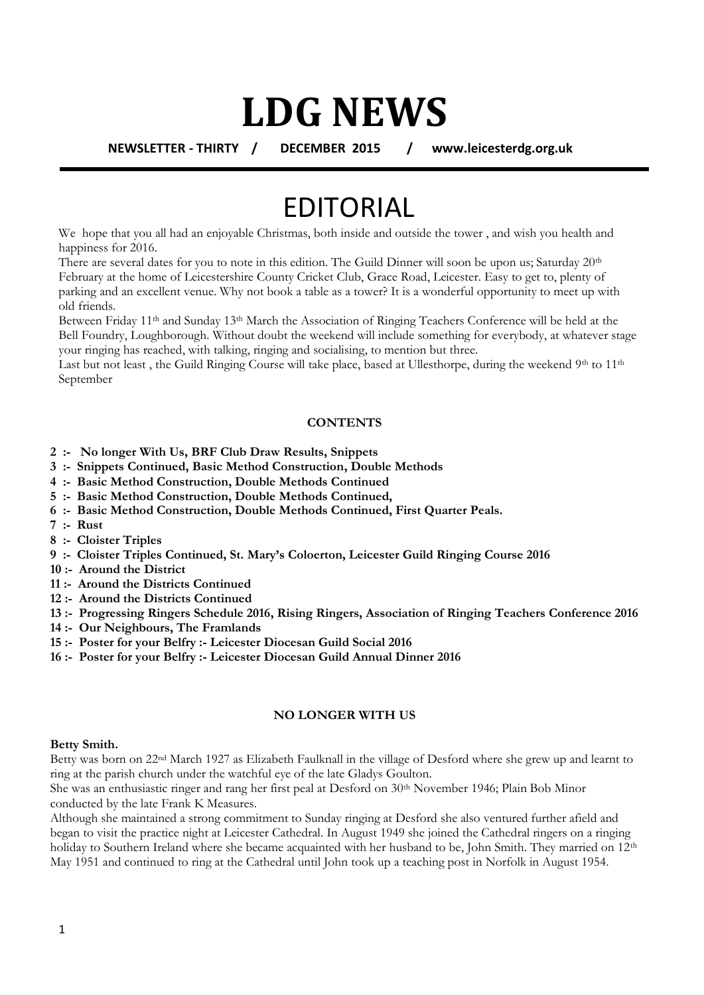## **LDG NEWS**

**NEWSLETTER - THIRTY / DECEMBER 2015 / www.leicesterdg.org.uk**

## EDITORIAL

We hope that you all had an enjoyable Christmas, both inside and outside the tower, and wish you health and happiness for 2016.

There are several dates for you to note in this edition. The Guild Dinner will soon be upon us; Saturday 20<sup>th</sup> February at the home of Leicestershire County Cricket Club, Grace Road, Leicester. Easy to get to, plenty of parking and an excellent venue. Why not book a table as a tower? It is a wonderful opportunity to meet up with old friends.

Between Friday 11<sup>th</sup> and Sunday 13<sup>th</sup> March the Association of Ringing Teachers Conference will be held at the Bell Foundry, Loughborough. Without doubt the weekend will include something for everybody, at whatever stage your ringing has reached, with talking, ringing and socialising, to mention but three.

Last but not least, the Guild Ringing Course will take place, based at Ullesthorpe, during the weekend 9th to  $11<sup>th</sup>$ September

#### **CONTENTS**

- **2 :- No longer With Us, BRF Club Draw Results, Snippets**
- **3 :- Snippets Continued, Basic Method Construction, Double Methods**
- **4 :- Basic Method Construction, Double Methods Continued**
- **5 :- Basic Method Construction, Double Methods Continued,**
- **6 :- Basic Method Construction, Double Methods Continued, First Quarter Peals.**
- **7 :- Rust**
- **8 :- Cloister Triples**
- **9 :- Cloister Triples Continued, St. Mary's Coloerton, Leicester Guild Ringing Course 2016**
- **10 :- Around the District**
- **11 :- Around the Districts Continued**
- **12 :- Around the Districts Continued**
- **13 :- Progressing Ringers Schedule 2016, Rising Ringers, Association of Ringing Teachers Conference 2016**
- **14 :- Our Neighbours, The Framlands**
- **15 :- Poster for your Belfry :- Leicester Diocesan Guild Social 2016**
- **16 :- Poster for your Belfry :- Leicester Diocesan Guild Annual Dinner 2016**

#### **NO LONGER WITH US**

#### **Betty Smith.**

Betty was born on 22nd March 1927 as Elizabeth Faulknall in the village of Desford where she grew up and learnt to ring at the parish church under the watchful eye of the late Gladys Goulton.

She was an enthusiastic ringer and rang her first peal at Desford on 30<sup>th</sup> November 1946; Plain Bob Minor conducted by the late Frank K Measures.

Although she maintained a strong commitment to Sunday ringing at Desford she also ventured further afield and began to visit the practice night at Leicester Cathedral. In August 1949 she joined the Cathedral ringers on a ringing holiday to Southern Ireland where she became acquainted with her husband to be, John Smith. They married on 12<sup>th</sup> May 1951 and continued to ring at the Cathedral until John took up a teaching post in Norfolk in August 1954.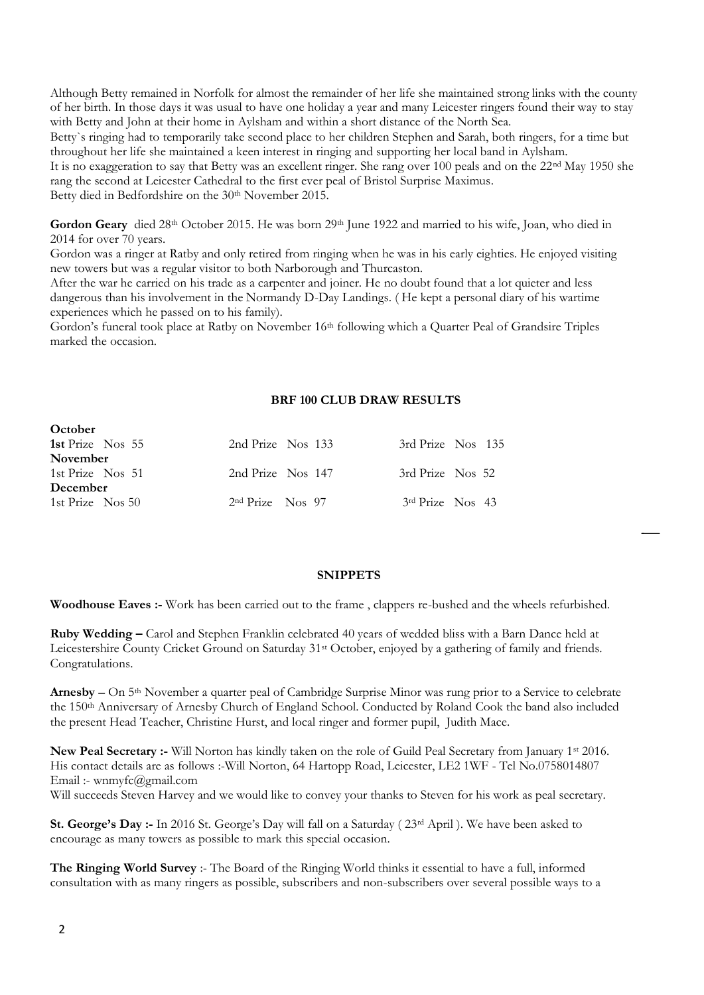Although Betty remained in Norfolk for almost the remainder of her life she maintained strong links with the county of her birth. In those days it was usual to have one holiday a year and many Leicester ringers found their way to stay with Betty and John at their home in Aylsham and within a short distance of the North Sea.

Betty`s ringing had to temporarily take second place to her children Stephen and Sarah, both ringers, for a time but throughout her life she maintained a keen interest in ringing and supporting her local band in Aylsham.

It is no exaggeration to say that Betty was an excellent ringer. She rang over 100 peals and on the 22nd May 1950 she rang the second at Leicester Cathedral to the first ever peal of Bristol Surprise Maximus.

Betty died in Bedfordshire on the 30<sup>th</sup> November 2015.

Gordon Geary died 28<sup>th</sup> October 2015. He was born 29<sup>th</sup> June 1922 and married to his wife, Joan, who died in 2014 for over 70 years.

Gordon was a ringer at Ratby and only retired from ringing when he was in his early eighties. He enjoyed visiting new towers but was a regular visitor to both Narborough and Thurcaston.

After the war he carried on his trade as a carpenter and joiner. He no doubt found that a lot quieter and less dangerous than his involvement in the Normandy D-Day Landings. ( He kept a personal diary of his wartime experiences which he passed on to his family).

Gordon's funeral took place at Ratby on November 16<sup>th</sup> following which a Quarter Peal of Grandsire Triples marked the occasion.

#### **BRF 100 CLUB DRAW RESULTS**

| <b>VUUULI</b>       |                    |                    |  |
|---------------------|--------------------|--------------------|--|
| 1st Prize Nos 55    | 2nd Prize Nos 133  | 3rd Prize Nos 135  |  |
| <b>November</b>     |                    |                    |  |
| 1st Prize Nos 51    | 2nd Prize Nos 147  | 3rd Prize Nos 52   |  |
| December            |                    |                    |  |
| 1st Prize $\log 50$ | $2nd$ Prize Nos 97 | $3rd$ Prize Nos 43 |  |
|                     |                    |                    |  |

#### **SNIPPETS**

**Woodhouse Eaves :-** Work has been carried out to the frame , clappers re-bushed and the wheels refurbished.

**Ruby Wedding –** Carol and Stephen Franklin celebrated 40 years of wedded bliss with a Barn Dance held at Leicestershire County Cricket Ground on Saturday 31<sup>st</sup> October, enjoyed by a gathering of family and friends. Congratulations.

**Arnesby** – On 5th November a quarter peal of Cambridge Surprise Minor was rung prior to a Service to celebrate the 150<sup>th</sup> Anniversary of Arnesby Church of England School. Conducted by Roland Cook the band also included the present Head Teacher, Christine Hurst, and local ringer and former pupil, Judith Mace.

**New Peal Secretary :-** Will Norton has kindly taken on the role of Guild Peal Secretary from January 1st 2016. His contact details are as follows :-Will Norton, 64 Hartopp Road, Leicester, LE2 1WF - Tel No.0758014807 Email :- wnmyfc@gmail.com

Will succeeds Steven Harvey and we would like to convey your thanks to Steven for his work as peal secretary.

**St. George's Day :-** In 2016 St. George's Day will fall on a Saturday ( 23rd April ). We have been asked to encourage as many towers as possible to mark this special occasion.

**The Ringing World Survey** :- The Board of the Ringing World thinks it essential to have a full, informed consultation with as many ringers as possible, subscribers and non-subscribers over several possible ways to a

**October**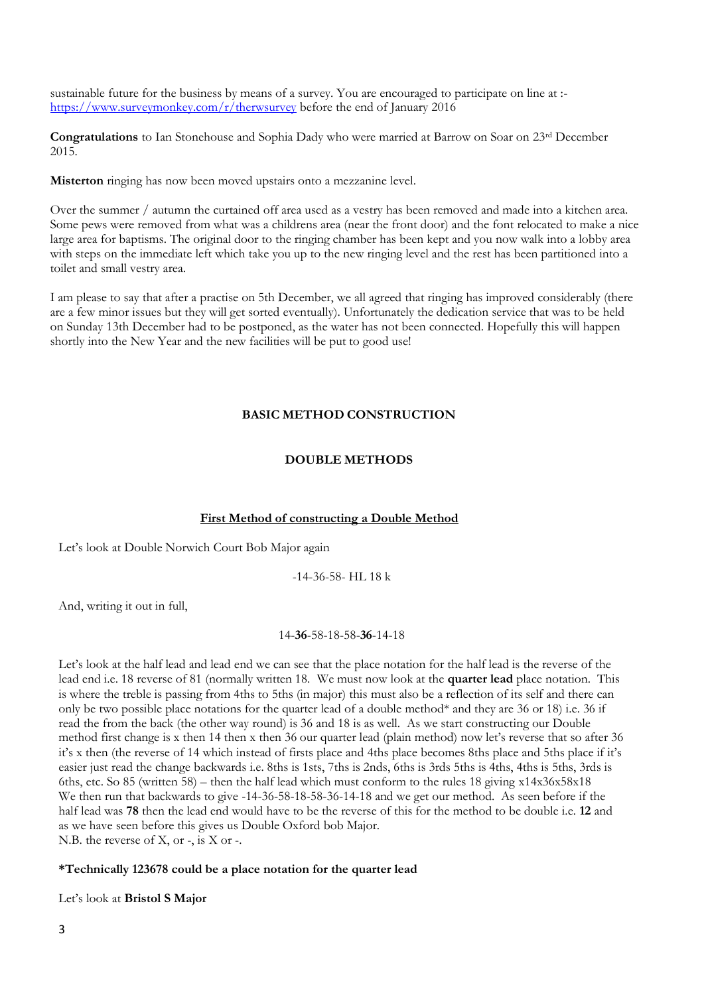sustainable future for the business by means of a survey. You are encouraged to participate on line at : <https://www.surveymonkey.com/r/therwsurvey> before the end of January 2016

**Congratulations** to Ian Stonehouse and Sophia Dady who were married at Barrow on Soar on 23rd December 2015.

**Misterton** ringing has now been moved upstairs onto a mezzanine level.

Over the summer / autumn the curtained off area used as a vestry has been removed and made into a kitchen area. Some pews were removed from what was a childrens area (near the front door) and the font relocated to make a nice large area for baptisms. The original door to the ringing chamber has been kept and you now walk into a lobby area with steps on the immediate left which take you up to the new ringing level and the rest has been partitioned into a toilet and small vestry area.

I am please to say that after a practise on 5th December, we all agreed that ringing has improved considerably (there are a few minor issues but they will get sorted eventually). Unfortunately the dedication service that was to be held on Sunday 13th December had to be postponed, as the water has not been connected. Hopefully this will happen shortly into the New Year and the new facilities will be put to good use!

#### **BASIC METHOD CONSTRUCTION**

#### **DOUBLE METHODS**

#### **First Method of constructing a Double Method**

Let's look at Double Norwich Court Bob Major again

-14-36-58- HL 18 k

And, writing it out in full,

#### 14-**36**-58-18-58-**36**-14-18

Let's look at the half lead and lead end we can see that the place notation for the half lead is the reverse of the lead end i.e. 18 reverse of 81 (normally written 18. We must now look at the **quarter lead** place notation. This is where the treble is passing from 4ths to 5ths (in major) this must also be a reflection of its self and there can only be two possible place notations for the quarter lead of a double method\* and they are 36 or 18) i.e. 36 if read the from the back (the other way round) is 36 and 18 is as well. As we start constructing our Double method first change is x then 14 then x then 36 our quarter lead (plain method) now let's reverse that so after 36 it's x then (the reverse of 14 which instead of firsts place and 4ths place becomes 8ths place and 5ths place if it's easier just read the change backwards i.e. 8ths is 1sts, 7ths is 2nds, 6ths is 3rds 5ths is 4ths, 4ths is 5ths, 3rds is 6ths, etc. So 85 (written 58) – then the half lead which must conform to the rules 18 giving x14x36x58x18 We then run that backwards to give -14-36-58-18-58-36-14-18 and we get our method. As seen before if the half lead was **78** then the lead end would have to be the reverse of this for the method to be double i.e. **12** and as we have seen before this gives us Double Oxford bob Major. N.B. the reverse of X, or -, is X or -.

#### **\*Technically 123678 could be a place notation for the quarter lead**

Let's look at **Bristol S Major**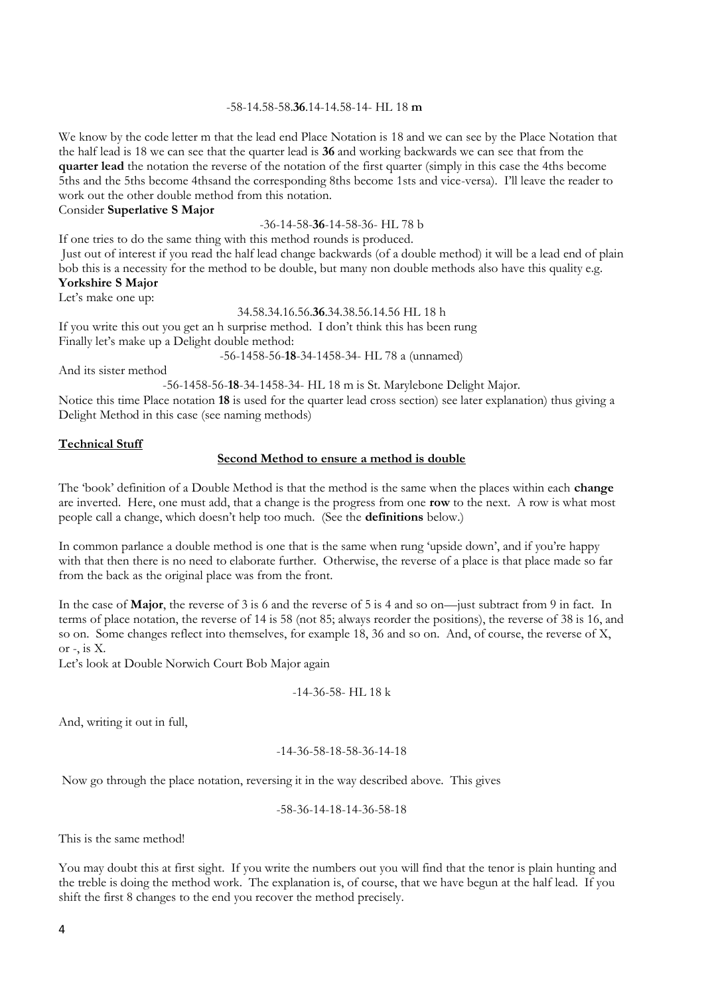#### -58-14.58-58.**36**.14-14.58-14- HL 18 **m**

We know by the code letter m that the lead end Place Notation is 18 and we can see by the Place Notation that the half lead is 18 we can see that the quarter lead is **36** and working backwards we can see that from the **quarter lead** the notation the reverse of the notation of the first quarter (simply in this case the 4ths become 5ths and the 5ths become 4thsand the corresponding 8ths become 1sts and vice-versa). I'll leave the reader to work out the other double method from this notation.

Consider **Superlative S Major**

-36-14-58-**36**-14-58-36- HL 78 b

If one tries to do the same thing with this method rounds is produced.

Just out of interest if you read the half lead change backwards (of a double method) it will be a lead end of plain bob this is a necessity for the method to be double, but many non double methods also have this quality e.g. **Yorkshire S Major** 

Let's make one up:

34.58.34.16.56.**36**.34.38.56.14.56 HL 18 h

If you write this out you get an h surprise method. I don't think this has been rung Finally let's make up a Delight double method:

-56-1458-56-**18**-34-1458-34- HL 78 a (unnamed)

And its sister method

-56-1458-56-**18**-34-1458-34- HL 18 m is St. Marylebone Delight Major.

Notice this time Place notation **18** is used for the quarter lead cross section) see later explanation) thus giving a Delight Method in this case (see naming methods)

#### **Technical Stuff**

#### **Second Method to ensure a method is double**

The 'book' definition of a Double Method is that the method is the same when the places within each **change** are inverted. Here, one must add, that a change is the progress from one **row** to the next. A row is what most people call a change, which doesn't help too much. (See the **definitions** below.)

In common parlance a double method is one that is the same when rung 'upside down', and if you're happy with that then there is no need to elaborate further. Otherwise, the reverse of a place is that place made so far from the back as the original place was from the front.

In the case of **Major**, the reverse of 3 is 6 and the reverse of 5 is 4 and so on—just subtract from 9 in fact. In terms of place notation, the reverse of 14 is 58 (not 85; always reorder the positions), the reverse of 38 is 16, and so on. Some changes reflect into themselves, for example 18, 36 and so on. And, of course, the reverse of X, or  $-$ , is  $X$ .

Let's look at Double Norwich Court Bob Major again

$$
-14-36-58
$$
- HL 18 k

And, writing it out in full,

#### -14-36-58-18-58-36-14-18

Now go through the place notation, reversing it in the way described above. This gives

$$
-58-36-14-18-14-36-58-18
$$

This is the same method!

You may doubt this at first sight. If you write the numbers out you will find that the tenor is plain hunting and the treble is doing the method work. The explanation is, of course, that we have begun at the half lead. If you shift the first 8 changes to the end you recover the method precisely.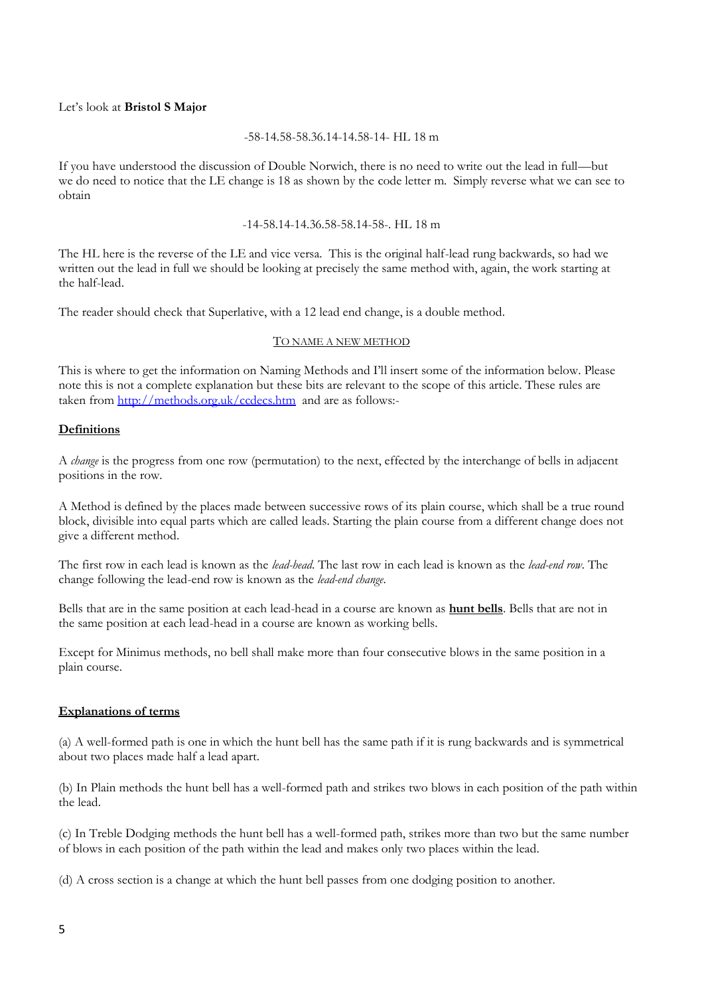#### Let's look at **Bristol S Major**

#### -58-14.58-58.36.14-14.58-14- HL 18 m

If you have understood the discussion of Double Norwich, there is no need to write out the lead in full—but we do need to notice that the LE change is 18 as shown by the code letter m. Simply reverse what we can see to obtain

-14-58.14-14.36.58-58.14-58-. HL 18 m

The HL here is the reverse of the LE and vice versa. This is the original half-lead rung backwards, so had we written out the lead in full we should be looking at precisely the same method with, again, the work starting at the half-lead.

The reader should check that Superlative, with a 12 lead end change, is a double method.

#### TO NAME A NEW METHOD

This is where to get the information on Naming Methods and I'll insert some of the information below. Please note this is not a complete explanation but these bits are relevant to the scope of this article. These rules are taken from<http://methods.org.uk/ccdecs.htm>and are as follows:-

#### **Definitions**

A *change* is the progress from one row (permutation) to the next, effected by the interchange of bells in adjacent positions in the row.

A Method is defined by the places made between successive rows of its plain course, which shall be a true round block, divisible into equal parts which are called leads. Starting the plain course from a different change does not give a different method.

The first row in each lead is known as the *lead-head*. The last row in each lead is known as the *lead-end row*. The change following the lead-end row is known as the *lead-end change*.

Bells that are in the same position at each lead-head in a course are known as **hunt bells**. Bells that are not in the same position at each lead-head in a course are known as working bells.

Except for Minimus methods, no bell shall make more than four consecutive blows in the same position in a plain course.

#### **Explanations of terms**

(a) A well-formed path is one in which the hunt bell has the same path if it is rung backwards and is symmetrical about two places made half a lead apart.

(b) In Plain methods the hunt bell has a well-formed path and strikes two blows in each position of the path within the lead.

(c) In Treble Dodging methods the hunt bell has a well-formed path, strikes more than two but the same number of blows in each position of the path within the lead and makes only two places within the lead.

(d) A cross section is a change at which the hunt bell passes from one dodging position to another.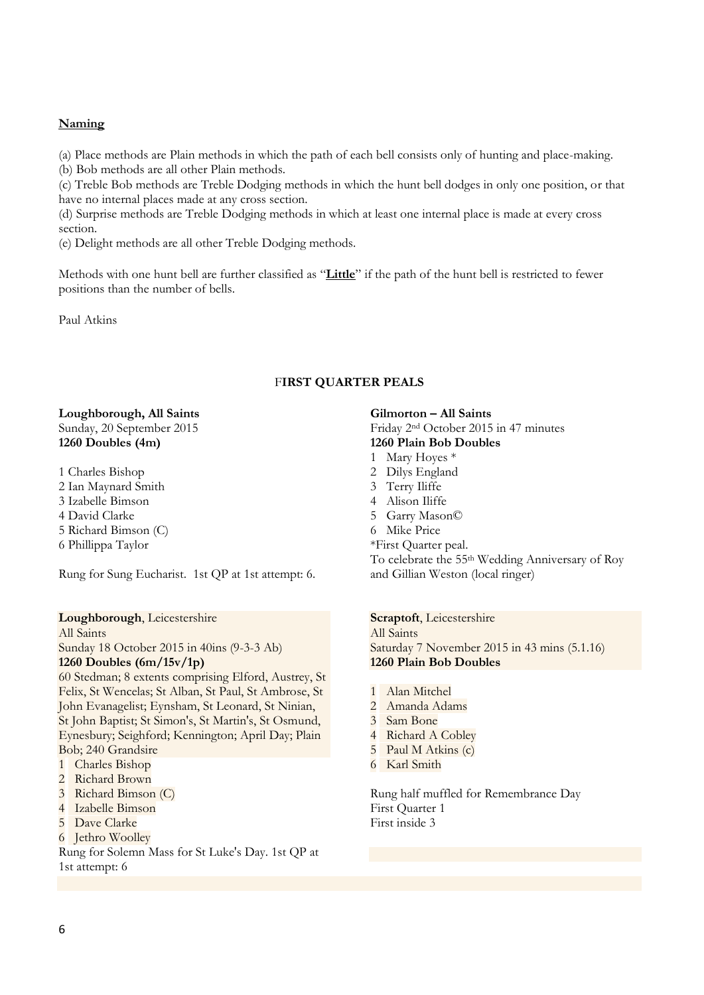#### **Naming**

(a) Place methods are Plain methods in which the path of each bell consists only of hunting and place-making.

(b) Bob methods are all other Plain methods.

(c) Treble Bob methods are Treble Dodging methods in which the hunt bell dodges in only one position, or that have no internal places made at any cross section.

(d) Surprise methods are Treble Dodging methods in which at least one internal place is made at every cross section.

(e) Delight methods are all other Treble Dodging methods.

Methods with one hunt bell are further classified as "**Little**" if the path of the hunt bell is restricted to fewer positions than the number of bells.

Paul Atkins

#### F**IRST QUARTER PEALS**

#### **Loughborough, All Saints** Sunday, 20 September 2015 **1260 Doubles (4m)**

1 Charles Bishop 2 Ian Maynard Smith 3 Izabelle Bimson

4 David Clarke

5 Richard Bimson (C)

6 Phillippa Taylor

Rung for Sung Eucharist. 1st QP at 1st attempt: 6.

#### **Loughborough**, Leicestershire

All Saints Sunday 18 October 2015 in 40ins (9-3-3 Ab)

#### **1260 Doubles (6m/15v/1p)**

60 Stedman; 8 extents comprising Elford, Austrey, St Felix, St Wencelas; St Alban, St Paul, St Ambrose, St John Evanagelist; Eynsham, St Leonard, St Ninian, St John Baptist; St Simon's, St Martin's, St Osmund, Eynesbury; Seighford; Kennington; April Day; Plain Bob; 240 Grandsire

- 1 Charles Bishop
- 2 Richard Brown
- 3 Richard Bimson (C)
- 4 Izabelle Bimson
- 5 Dave Clarke
- 6 Jethro Woolley

Rung for Solemn Mass for St Luke's Day. 1st QP at 1st attempt: 6

#### **Gilmorton – All Saints** Friday 2nd October 2015 in 47 minutes **1260 Plain Bob Doubles**

1 Mary Hoyes \*

- 2 Dilys England
- 3 Terry Iliffe
- 4 Alison Iliffe
- 5 Garry Mason©
- 6 Mike Price
- \*First Quarter peal.

To celebrate the 55th Wedding Anniversary of Roy and Gillian Weston (local ringer)

**Scraptoft**, Leicestershire

All Saints Saturday 7 November 2015 in 43 mins (5.1.16) **1260 Plain Bob Doubles**

- 1 Alan Mitchel
- 2 Amanda Adams
- 3 Sam Bone
- 4 Richard A Cobley
- 5 Paul M Atkins (c)
- 6 Karl Smith

Rung half muffled for Remembrance Day First Quarter 1 First inside 3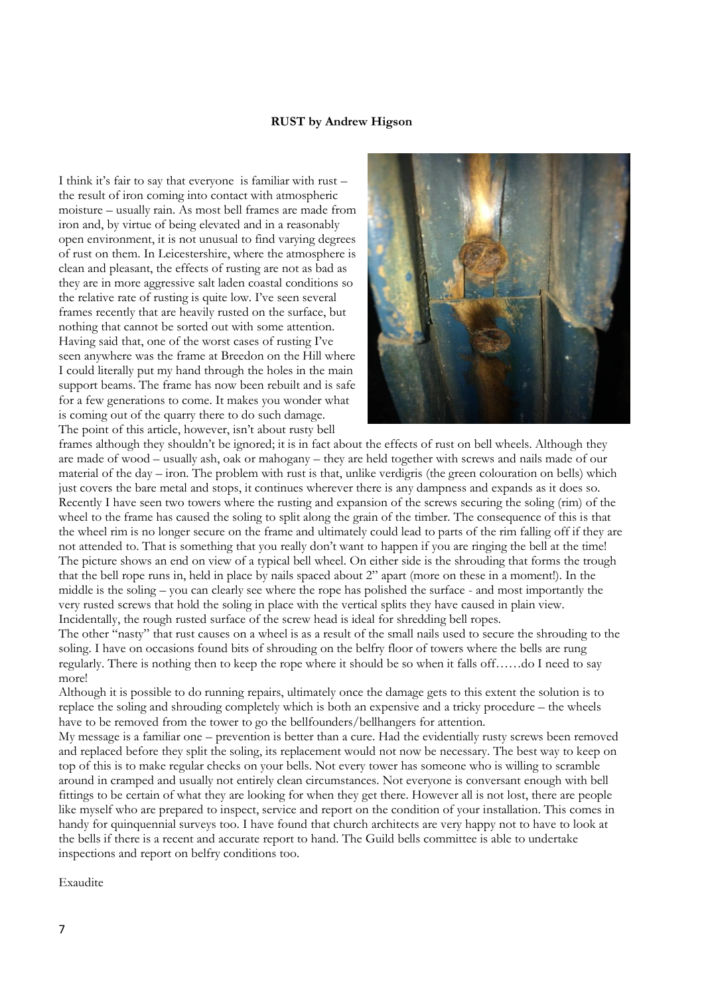#### **RUST by Andrew Higson**

I think it's fair to say that everyone is familiar with rust – the result of iron coming into contact with atmospheric moisture – usually rain. As most bell frames are made from iron and, by virtue of being elevated and in a reasonably open environment, it is not unusual to find varying degrees of rust on them. In Leicestershire, where the atmosphere is clean and pleasant, the effects of rusting are not as bad as they are in more aggressive salt laden coastal conditions so the relative rate of rusting is quite low. I've seen several frames recently that are heavily rusted on the surface, but nothing that cannot be sorted out with some attention. Having said that, one of the worst cases of rusting I've seen anywhere was the frame at Breedon on the Hill where I could literally put my hand through the holes in the main support beams. The frame has now been rebuilt and is safe for a few generations to come. It makes you wonder what is coming out of the quarry there to do such damage. The point of this article, however, isn't about rusty bell



frames although they shouldn't be ignored; it is in fact about the effects of rust on bell wheels. Although they are made of wood – usually ash, oak or mahogany – they are held together with screws and nails made of our material of the day – iron. The problem with rust is that, unlike verdigris (the green colouration on bells) which just covers the bare metal and stops, it continues wherever there is any dampness and expands as it does so. Recently I have seen two towers where the rusting and expansion of the screws securing the soling (rim) of the wheel to the frame has caused the soling to split along the grain of the timber. The consequence of this is that the wheel rim is no longer secure on the frame and ultimately could lead to parts of the rim falling off if they are not attended to. That is something that you really don't want to happen if you are ringing the bell at the time! The picture shows an end on view of a typical bell wheel. On either side is the shrouding that forms the trough that the bell rope runs in, held in place by nails spaced about 2" apart (more on these in a moment!). In the middle is the soling – you can clearly see where the rope has polished the surface - and most importantly the very rusted screws that hold the soling in place with the vertical splits they have caused in plain view. Incidentally, the rough rusted surface of the screw head is ideal for shredding bell ropes.

The other "nasty" that rust causes on a wheel is as a result of the small nails used to secure the shrouding to the soling. I have on occasions found bits of shrouding on the belfry floor of towers where the bells are rung regularly. There is nothing then to keep the rope where it should be so when it falls off……do I need to say more!

Although it is possible to do running repairs, ultimately once the damage gets to this extent the solution is to replace the soling and shrouding completely which is both an expensive and a tricky procedure – the wheels have to be removed from the tower to go the bellfounders/bellhangers for attention.

My message is a familiar one – prevention is better than a cure. Had the evidentially rusty screws been removed and replaced before they split the soling, its replacement would not now be necessary. The best way to keep on top of this is to make regular checks on your bells. Not every tower has someone who is willing to scramble around in cramped and usually not entirely clean circumstances. Not everyone is conversant enough with bell fittings to be certain of what they are looking for when they get there. However all is not lost, there are people like myself who are prepared to inspect, service and report on the condition of your installation. This comes in handy for quinquennial surveys too. I have found that church architects are very happy not to have to look at the bells if there is a recent and accurate report to hand. The Guild bells committee is able to undertake inspections and report on belfry conditions too.

Exaudite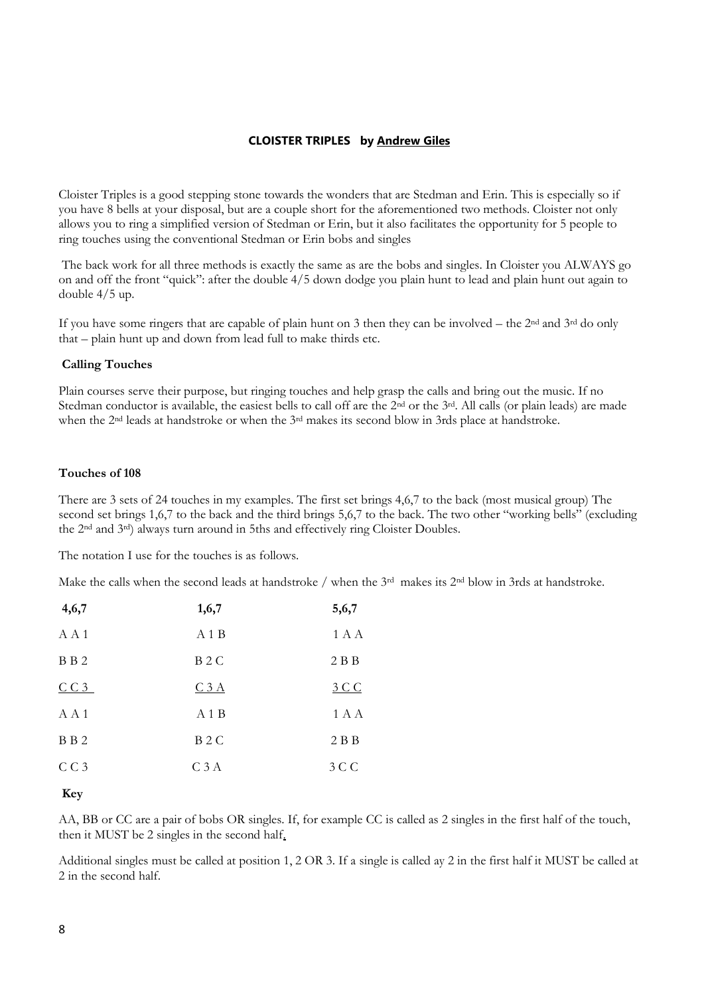#### **CLOISTER TRIPLES by Andrew Giles**

Cloister Triples is a good stepping stone towards the wonders that are Stedman and Erin. This is especially so if you have 8 bells at your disposal, but are a couple short for the aforementioned two methods. Cloister not only allows you to ring a simplified version of Stedman or Erin, but it also facilitates the opportunity for 5 people to ring touches using the conventional Stedman or Erin bobs and singles

The back work for all three methods is exactly the same as are the bobs and singles. In Cloister you ALWAYS go on and off the front "quick": after the double 4/5 down dodge you plain hunt to lead and plain hunt out again to double 4/5 up.

If you have some ringers that are capable of plain hunt on 3 then they can be involved – the  $2<sup>nd</sup>$  and  $3<sup>rd</sup>$  do only that – plain hunt up and down from lead full to make thirds etc.

#### **Calling Touches**

Plain courses serve their purpose, but ringing touches and help grasp the calls and bring out the music. If no Stedman conductor is available, the easiest bells to call off are the 2<sup>nd</sup> or the 3<sup>rd</sup>. All calls (or plain leads) are made when the 2<sup>nd</sup> leads at handstroke or when the 3<sup>rd</sup> makes its second blow in 3rds place at handstroke.

#### **Touches of 108**

There are 3 sets of 24 touches in my examples. The first set brings 4,6,7 to the back (most musical group) The second set brings 1,6,7 to the back and the third brings 5,6,7 to the back. The two other "working bells" (excluding the 2nd and 3rd) always turn around in 5ths and effectively ring Cloister Doubles.

The notation I use for the touches is as follows.

Make the calls when the second leads at handstroke / when the 3<sup>rd</sup> makes its 2<sup>nd</sup> blow in 3rds at handstroke.

| 4,6,7           | 1,6,7            | 5,6,7 |
|-----------------|------------------|-------|
| A A 1           | A1B              | 1 A A |
| B B 2           | B <sub>2</sub> C | 2B    |
| CC3             | C3A              | 3 C C |
| AA1             | A1B              | 1 A A |
| B B 2           | B <sub>2</sub> C | 2B    |
| CC <sub>3</sub> | C <sub>3</sub> A | 3 C C |

**Key**

AA, BB or CC are a pair of bobs OR singles. If, for example CC is called as 2 singles in the first half of the touch, then it MUST be 2 singles in the second half.

Additional singles must be called at position 1, 2 OR 3. If a single is called ay 2 in the first half it MUST be called at 2 in the second half.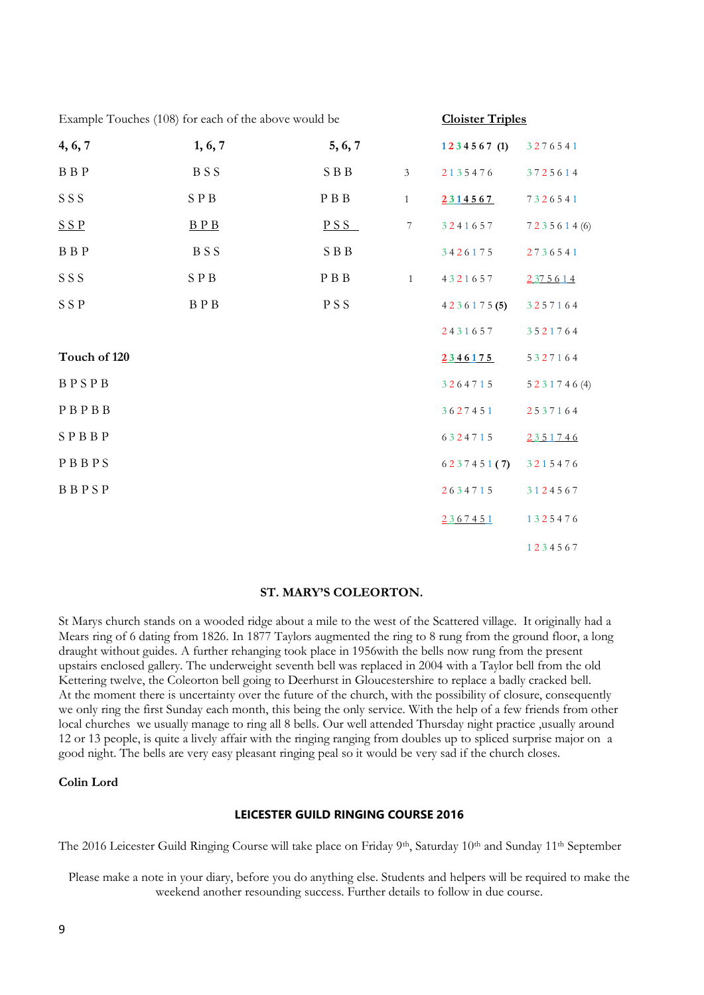| Example Touches (108) for each of the above would be |                   |         | <b>Cloister Triples</b> |            |              |
|------------------------------------------------------|-------------------|---------|-------------------------|------------|--------------|
| 4, 6, 7                                              | 1, 6, 7           | 5, 6, 7 |                         | 1234567(1) | 3276541      |
| $\, {\bf B} \, \, {\bf B} \, \, {\bf P}$             | <b>BSS</b>        | SBB     | $\mathfrak{Z}$          | 2135476    | 3725614      |
| SSS                                                  | SPB               | P B B   | $\mathbf{1}$            | 2314567    | 7326541      |
| SSP                                                  | B P B             | PSS     | $\tau$                  | 3241657    | 7235614(6)   |
| <b>BBP</b>                                           | <b>BSS</b>        | S B B   |                         | 3426175    | 2736541      |
| SSS                                                  | SPB               | P B B   | $\mathbf{1}$            | 4321657    | 2 37 5 6 1 4 |
| S S P                                                | $\rm B$ P $\rm B$ | PSS     |                         | 4236175(5) | 3257164      |
|                                                      |                   |         |                         | 2431657    | 3521764      |
| Touch of 120                                         |                   |         |                         | 2346175    | 5327164      |
| BPSPB                                                |                   |         |                         | 3264715    | 5231746(4)   |
| PBPBB                                                |                   |         |                         | 3627451    | 2537164      |
| SPBBP                                                |                   |         |                         | 6324715    | 2351746      |
| PBBPS                                                |                   |         |                         | 6237451(7) | 3215476      |
| BBPSP                                                |                   |         |                         | 2634715    | 3124567      |
|                                                      |                   |         |                         | 2367451    | 1325476      |
|                                                      |                   |         |                         |            | 1234567      |

#### **ST. MARY'S COLEORTON.**

St Marys church stands on a wooded ridge about a mile to the west of the Scattered village. It originally had a Mears ring of 6 dating from 1826. In 1877 Taylors augmented the ring to 8 rung from the ground floor, a long draught without guides. A further rehanging took place in 1956with the bells now rung from the present upstairs enclosed gallery. The underweight seventh bell was replaced in 2004 with a Taylor bell from the old Kettering twelve, the Coleorton bell going to Deerhurst in Gloucestershire to replace a badly cracked bell. At the moment there is uncertainty over the future of the church, with the possibility of closure, consequently we only ring the first Sunday each month, this being the only service. With the help of a few friends from other local churches we usually manage to ring all 8 bells. Our well attended Thursday night practice ,usually around 12 or 13 people, is quite a lively affair with the ringing ranging from doubles up to spliced surprise major on a good night. The bells are very easy pleasant ringing peal so it would be very sad if the church closes.

#### **Colin Lord**

#### **LEICESTER GUILD RINGING COURSE 2016**

The 2016 Leicester Guild Ringing Course will take place on Friday 9<sup>th</sup>, Saturday 10<sup>th</sup> and Sunday 11<sup>th</sup> September

Please make a note in your diary, before you do anything else. Students and helpers will be required to make the weekend another resounding success. Further details to follow in due course.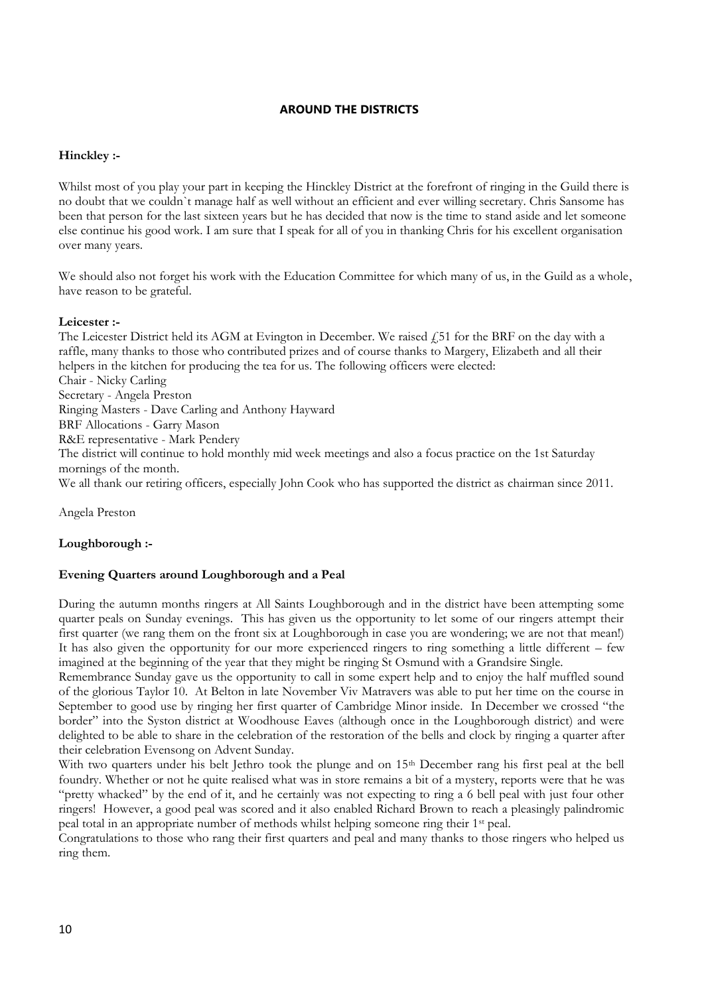#### **AROUND THE DISTRICTS**

#### **Hinckley :-**

Whilst most of you play your part in keeping the Hinckley District at the forefront of ringing in the Guild there is no doubt that we couldn`t manage half as well without an efficient and ever willing secretary. Chris Sansome has been that person for the last sixteen years but he has decided that now is the time to stand aside and let someone else continue his good work. I am sure that I speak for all of you in thanking Chris for his excellent organisation over many years.

We should also not forget his work with the Education Committee for which many of us, in the Guild as a whole, have reason to be grateful.

#### **Leicester :-**

The Leicester District held its AGM at Evington in December. We raised  $f$  51 for the BRF on the day with a raffle, many thanks to those who contributed prizes and of course thanks to Margery, Elizabeth and all their helpers in the kitchen for producing the tea for us. The following officers were elected: Chair - Nicky Carling Secretary - Angela Preston Ringing Masters - Dave Carling and Anthony Hayward BRF Allocations - Garry Mason R&E representative - Mark Pendery The district will continue to hold monthly mid week meetings and also a focus practice on the 1st Saturday mornings of the month. We all thank our retiring officers, especially John Cook who has supported the district as chairman since 2011.

Angela Preston

#### **Loughborough :-**

#### **Evening Quarters around Loughborough and a Peal**

During the autumn months ringers at All Saints Loughborough and in the district have been attempting some quarter peals on Sunday evenings. This has given us the opportunity to let some of our ringers attempt their first quarter (we rang them on the front six at Loughborough in case you are wondering; we are not that mean!) It has also given the opportunity for our more experienced ringers to ring something a little different – few imagined at the beginning of the year that they might be ringing St Osmund with a Grandsire Single.

Remembrance Sunday gave us the opportunity to call in some expert help and to enjoy the half muffled sound of the glorious Taylor 10. At Belton in late November Viv Matravers was able to put her time on the course in September to good use by ringing her first quarter of Cambridge Minor inside. In December we crossed "the border" into the Syston district at Woodhouse Eaves (although once in the Loughborough district) and were delighted to be able to share in the celebration of the restoration of the bells and clock by ringing a quarter after their celebration Evensong on Advent Sunday.

With two quarters under his belt Jethro took the plunge and on 15<sup>th</sup> December rang his first peal at the bell foundry. Whether or not he quite realised what was in store remains a bit of a mystery, reports were that he was "pretty whacked" by the end of it, and he certainly was not expecting to ring a 6 bell peal with just four other ringers! However, a good peal was scored and it also enabled Richard Brown to reach a pleasingly palindromic peal total in an appropriate number of methods whilst helping someone ring their 1st peal.

Congratulations to those who rang their first quarters and peal and many thanks to those ringers who helped us ring them.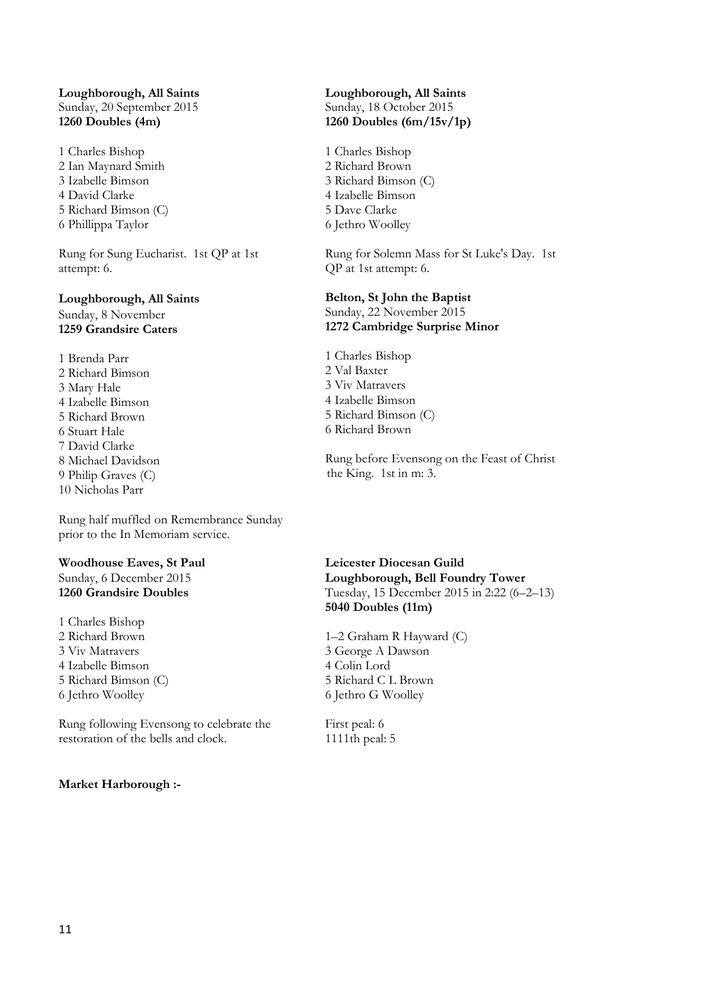#### **Loughborough, All Saints** Sunday, 20 September 2015 **1260 Doubles (4m)**

1 Charles Bishop 2 Ian Maynard Smith 3 Izabelle Bimson 4 David Clarke 5 Richard Bimson (C) 6 Phillippa Taylor

Rung for Sung Eucharist. 1st QP at 1st attempt: 6.

#### **Loughborough, All Saints** Sunday, 8 November **1259 Grandsire Caters**

1 Brenda Parr 2 Richard Bimson 3 Mary Hale 4 Izabelle Bimson 5 Richard Brown 6 Stuart Hale 7 David Clarke 8 Michael Davidson 9 Philip Graves (C) 10 Nicholas Parr

Rung half muffled on Remembrance Sunday prior to the In Memoriam service.

#### **Woodhouse Eaves, St Paul** Sunday, 6 December 2015 **1260 Grandsire Doubles**

1 Charles Bishop 2 Richard Brown 3 Viv Matravers 4 Izabelle Bimson 5 Richard Bimson (C) 6 Jethro Woolley

Rung following Evensong to celebrate the restoration of the bells and clock.

#### **Market Harborough :-**

#### **Loughborough, All Saints** Sunday, 18 October 2015 **1260 Doubles (6m/15v/1p)**

1 Charles Bishop 2 Richard Brown 3 Richard Bimson (C) 4 Izabelle Bimson 5 Dave Clarke 6 Jethro Woolley

Rung for Solemn Mass for St Luke's Day. 1st QP at 1st attempt: 6.

#### **Belton, St John the Baptist** Sunday, 22 November 2015 **1272 Cambridge Surprise Minor**

1 Charles Bishop 2 Val Baxter 3 Viv Matravers 4 Izabelle Bimson 5 Richard Bimson (C) 6 Richard Brown

Rung before Evensong on the Feast of Christ the King. 1st in m: 3.

**Leicester Diocesan Guild Loughborough, Bell Foundry Tower** Tuesday, 15 December 2015 in 2:22 (6–2–13) **5040 Doubles (11m)**

1–2 Graham R Hayward (C) 3 George A Dawson 4 Colin Lord 5 Richard C L Brown 6 Jethro G Woolley

First peal: 6 1111th peal: 5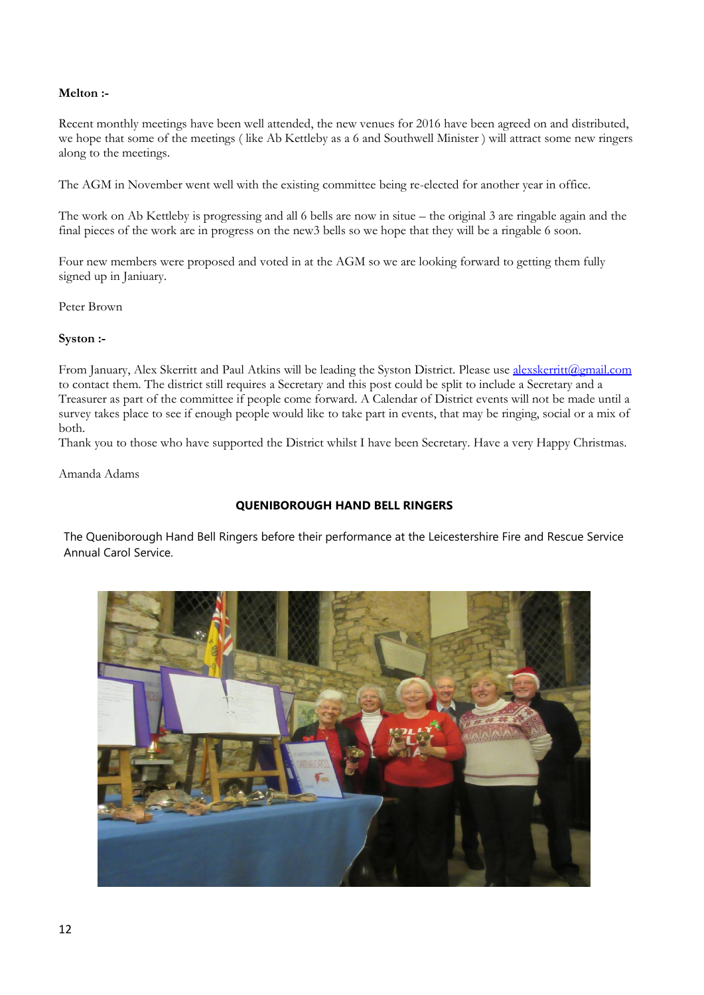#### **Melton :-**

Recent monthly meetings have been well attended, the new venues for 2016 have been agreed on and distributed, we hope that some of the meetings ( like Ab Kettleby as a 6 and Southwell Minister ) will attract some new ringers along to the meetings.

The AGM in November went well with the existing committee being re-elected for another year in office.

The work on Ab Kettleby is progressing and all 6 bells are now in situe – the original 3 are ringable again and the final pieces of the work are in progress on the new3 bells so we hope that they will be a ringable 6 soon.

Four new members were proposed and voted in at the AGM so we are looking forward to getting them fully signed up in Janiuary.

Peter Brown

#### **Syston :-**

From January, Alex Skerritt and Paul Atkins will be leading the Syston District. Please use [alexskerritt@gmail.com](mailto:alexskerritt@gmail.com) to contact them. The district still requires a Secretary and this post could be split to include a Secretary and a Treasurer as part of the committee if people come forward. A Calendar of District events will not be made until a survey takes place to see if enough people would like to take part in events, that may be ringing, social or a mix of both.

Thank you to those who have supported the District whilst I have been Secretary. Have a very Happy Christmas.

Amanda Adams

#### **QUENIBOROUGH HAND BELL RINGERS**

The Queniborough Hand Bell Ringers before their performance at the Leicestershire Fire and Rescue Service Annual Carol Service.

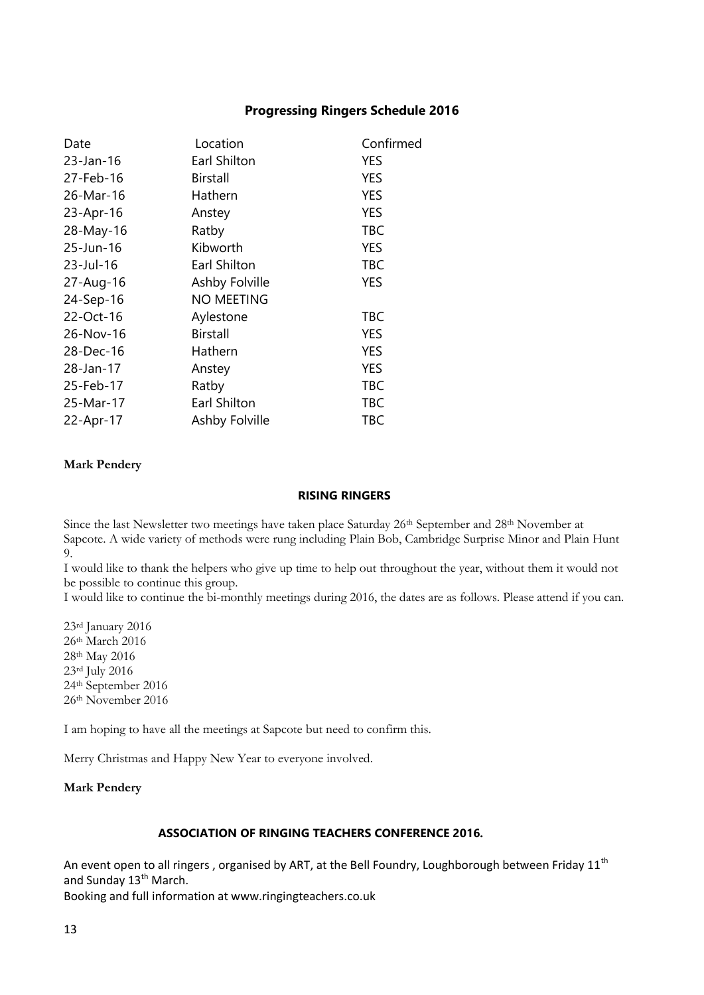#### **Progressing Ringers Schedule 2016**

| Date      | Location          | Confirmed  |
|-----------|-------------------|------------|
| 23-Jan-16 | Earl Shilton      | <b>YES</b> |
| 27-Feb-16 | <b>Birstall</b>   | <b>YES</b> |
| 26-Mar-16 | Hathern           | <b>YES</b> |
| 23-Apr-16 | Anstey            | <b>YES</b> |
| 28-May-16 | Ratby             | <b>TBC</b> |
| 25-Jun-16 | Kibworth          | <b>YES</b> |
| 23-Jul-16 | Earl Shilton      | <b>TBC</b> |
| 27-Aug-16 | Ashby Folville    | <b>YES</b> |
| 24-Sep-16 | <b>NO MEETING</b> |            |
| 22-Oct-16 | Aylestone         | TBC        |
| 26-Nov-16 | <b>Birstall</b>   | YES        |
| 28-Dec-16 | Hathern           | <b>YES</b> |
| 28-Jan-17 | Anstey            | <b>YES</b> |
| 25-Feb-17 | Ratby             | <b>TBC</b> |
| 25-Mar-17 | Earl Shilton      | TBC        |
| 22-Apr-17 | Ashby Folville    | TBC        |

#### **Mark Pendery**

#### **RISING RINGERS**

Since the last Newsletter two meetings have taken place Saturday 26<sup>th</sup> September and 28<sup>th</sup> November at Sapcote. A wide variety of methods were rung including Plain Bob, Cambridge Surprise Minor and Plain Hunt 9.

I would like to thank the helpers who give up time to help out throughout the year, without them it would not be possible to continue this group.

I would like to continue the bi-monthly meetings during 2016, the dates are as follows. Please attend if you can.

rd January 2016  $26<sup>th</sup>$  March 2016 th May 2016 rd July 2016 th September 2016 th November 2016

I am hoping to have all the meetings at Sapcote but need to confirm this.

Merry Christmas and Happy New Year to everyone involved.

#### **Mark Pendery**

#### **ASSOCIATION OF RINGING TEACHERS CONFERENCE 2016.**

An event open to all ringers, organised by ART, at the Bell Foundry, Loughborough between Friday  $11<sup>th</sup>$ and Sunday 13<sup>th</sup> March.

Booking and full information at www.ringingteachers.co.uk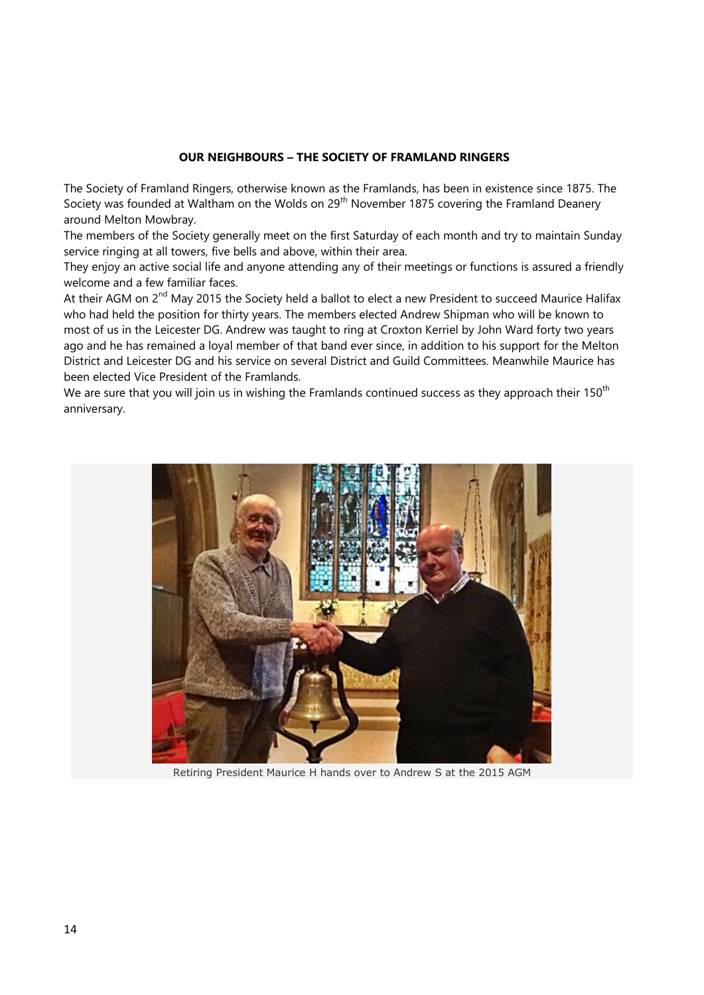#### **OUR NEIGHBOURS – THE SOCIETY OF FRAMLAND RINGERS**

The Society of Framland Ringers, otherwise known as the Framlands, has been in existence since 1875. The Society was founded at Waltham on the Wolds on 29<sup>th</sup> November 1875 covering the Framland Deanery around Melton Mowbray.

The members of the Society generally meet on the first Saturday of each month and try to maintain Sunday service ringing at all towers, five bells and above, within their area.

They enjoy an active social life and anyone attending any of their meetings or functions is assured a friendly welcome and a few familiar faces.

At their AGM on 2<sup>nd</sup> May 2015 the Society held a ballot to elect a new President to succeed Maurice Halifax who had held the position for thirty years. The members elected Andrew Shipman who will be known to most of us in the Leicester DG. Andrew was taught to ring at Croxton Kerriel by John Ward forty two years ago and he has remained a loyal member of that band ever since, in addition to his support for the Melton District and Leicester DG and his service on several District and Guild Committees. Meanwhile Maurice has been elected Vice President of the Framlands.

We are sure that you will join us in wishing the Framlands continued success as they approach their 150<sup>th</sup> anniversary.



Retiring President Maurice H hands over to Andrew S at the 2015 AGM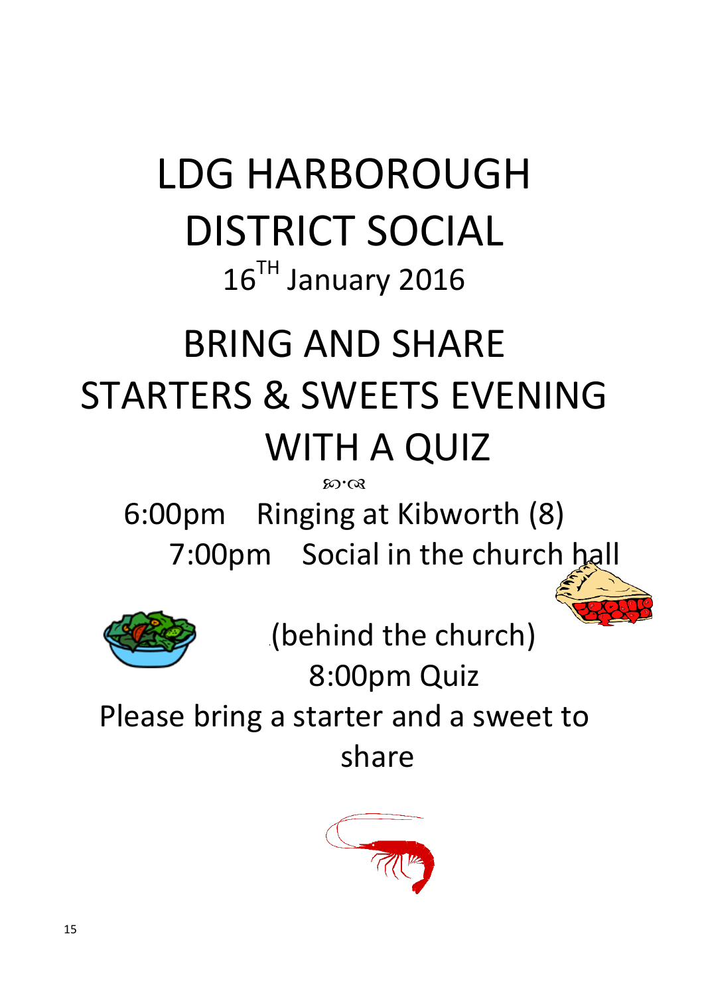# LDG HARBOROUGH DISTRICT SOCIAL 16<sup>TH</sup> January 2016

## BRING AND SHARE STARTERS & SWEETS EVENING WITH A QUIZ

**80.08** 

6:00pm Ringing at Kibworth (8) 7:00pm Social in the church hall



.(behind the church)

8:00pm Quiz

Please bring a starter and a sweet to share